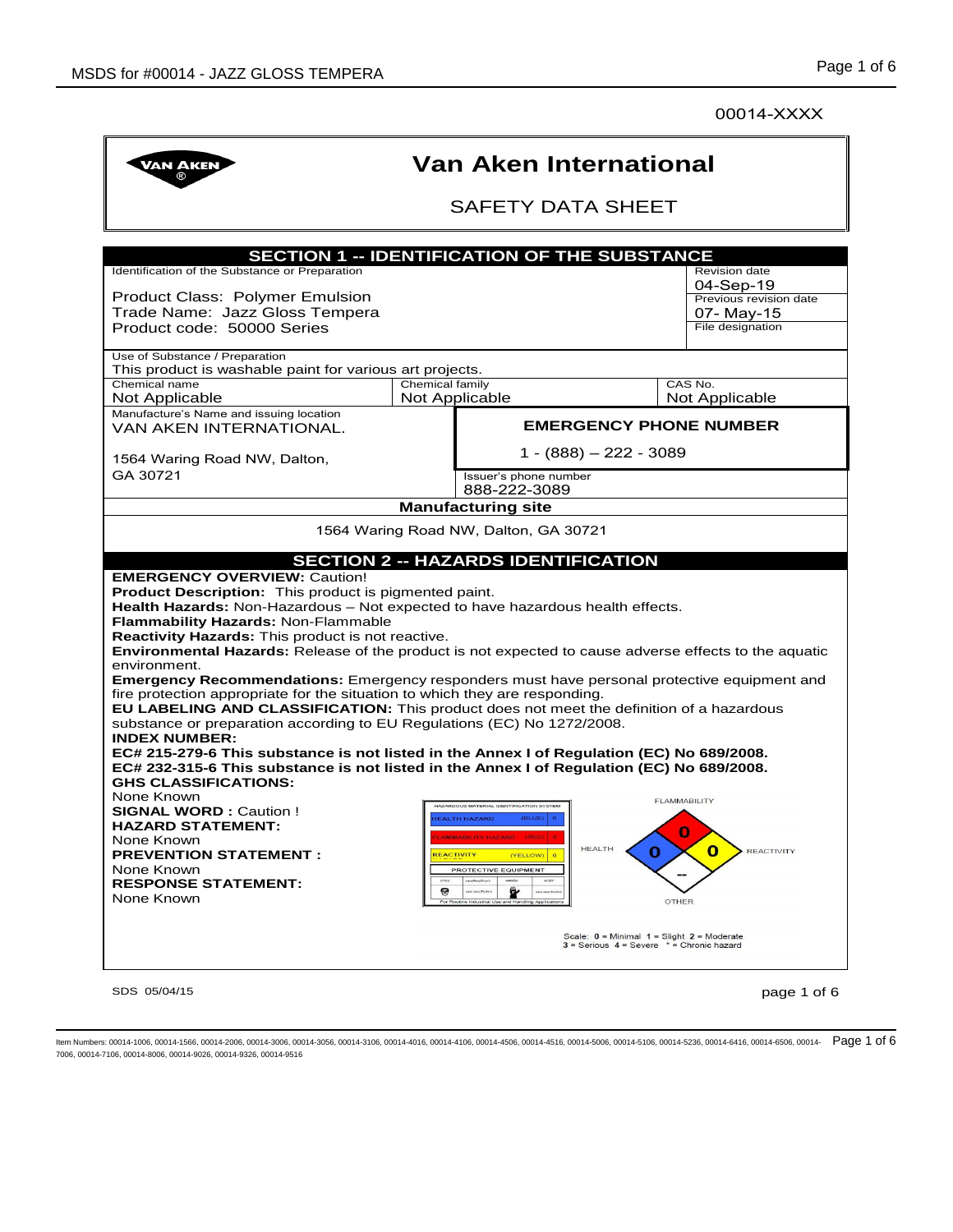00014-XXXX

| VAN AKEN                                                                                                                                                                                                                                                                                                                                                                                                                                                                                                                                                                                                                                                                                                                                                                                                                                                                                                                                                                                                                                                                             |                                         | <b>Van Aken International</b>                       |                                                                                                     |                        |
|--------------------------------------------------------------------------------------------------------------------------------------------------------------------------------------------------------------------------------------------------------------------------------------------------------------------------------------------------------------------------------------------------------------------------------------------------------------------------------------------------------------------------------------------------------------------------------------------------------------------------------------------------------------------------------------------------------------------------------------------------------------------------------------------------------------------------------------------------------------------------------------------------------------------------------------------------------------------------------------------------------------------------------------------------------------------------------------|-----------------------------------------|-----------------------------------------------------|-----------------------------------------------------------------------------------------------------|------------------------|
| <b>SAFETY DATA SHEET</b>                                                                                                                                                                                                                                                                                                                                                                                                                                                                                                                                                                                                                                                                                                                                                                                                                                                                                                                                                                                                                                                             |                                         |                                                     |                                                                                                     |                        |
|                                                                                                                                                                                                                                                                                                                                                                                                                                                                                                                                                                                                                                                                                                                                                                                                                                                                                                                                                                                                                                                                                      |                                         | <b>SECTION 1 -- IDENTIFICATION OF THE SUBSTANCE</b> |                                                                                                     |                        |
| Identification of the Substance or Preparation                                                                                                                                                                                                                                                                                                                                                                                                                                                                                                                                                                                                                                                                                                                                                                                                                                                                                                                                                                                                                                       |                                         |                                                     |                                                                                                     | <b>Revision date</b>   |
|                                                                                                                                                                                                                                                                                                                                                                                                                                                                                                                                                                                                                                                                                                                                                                                                                                                                                                                                                                                                                                                                                      |                                         |                                                     |                                                                                                     | 04-Sep-19              |
| <b>Product Class: Polymer Emulsion</b>                                                                                                                                                                                                                                                                                                                                                                                                                                                                                                                                                                                                                                                                                                                                                                                                                                                                                                                                                                                                                                               |                                         |                                                     |                                                                                                     | Previous revision date |
| Trade Name: Jazz Gloss Tempera                                                                                                                                                                                                                                                                                                                                                                                                                                                                                                                                                                                                                                                                                                                                                                                                                                                                                                                                                                                                                                                       |                                         |                                                     |                                                                                                     | 07- May-15             |
| Product code: 50000 Series                                                                                                                                                                                                                                                                                                                                                                                                                                                                                                                                                                                                                                                                                                                                                                                                                                                                                                                                                                                                                                                           |                                         |                                                     |                                                                                                     | File designation       |
| Use of Substance / Preparation                                                                                                                                                                                                                                                                                                                                                                                                                                                                                                                                                                                                                                                                                                                                                                                                                                                                                                                                                                                                                                                       |                                         |                                                     |                                                                                                     |                        |
| This product is washable paint for various art projects.                                                                                                                                                                                                                                                                                                                                                                                                                                                                                                                                                                                                                                                                                                                                                                                                                                                                                                                                                                                                                             |                                         |                                                     |                                                                                                     |                        |
| Chemical name                                                                                                                                                                                                                                                                                                                                                                                                                                                                                                                                                                                                                                                                                                                                                                                                                                                                                                                                                                                                                                                                        | Chemical family                         |                                                     | CAS No.                                                                                             |                        |
| Not Applicable<br>Manufacture's Name and issuing location                                                                                                                                                                                                                                                                                                                                                                                                                                                                                                                                                                                                                                                                                                                                                                                                                                                                                                                                                                                                                            | Not Applicable                          |                                                     |                                                                                                     | Not Applicable         |
| VAN AKEN INTERNATIONAL.                                                                                                                                                                                                                                                                                                                                                                                                                                                                                                                                                                                                                                                                                                                                                                                                                                                                                                                                                                                                                                                              |                                         | <b>EMERGENCY PHONE NUMBER</b>                       |                                                                                                     |                        |
| 1564 Waring Road NW, Dalton,                                                                                                                                                                                                                                                                                                                                                                                                                                                                                                                                                                                                                                                                                                                                                                                                                                                                                                                                                                                                                                                         |                                         | $1 - (888) - 222 - 3089$                            |                                                                                                     |                        |
| GA 30721                                                                                                                                                                                                                                                                                                                                                                                                                                                                                                                                                                                                                                                                                                                                                                                                                                                                                                                                                                                                                                                                             |                                         | Issuer's phone number                               |                                                                                                     |                        |
|                                                                                                                                                                                                                                                                                                                                                                                                                                                                                                                                                                                                                                                                                                                                                                                                                                                                                                                                                                                                                                                                                      |                                         | 888-222-3089                                        |                                                                                                     |                        |
|                                                                                                                                                                                                                                                                                                                                                                                                                                                                                                                                                                                                                                                                                                                                                                                                                                                                                                                                                                                                                                                                                      | <b>Manufacturing site</b>               |                                                     |                                                                                                     |                        |
|                                                                                                                                                                                                                                                                                                                                                                                                                                                                                                                                                                                                                                                                                                                                                                                                                                                                                                                                                                                                                                                                                      |                                         | 1564 Waring Road NW, Dalton, GA 30721               |                                                                                                     |                        |
|                                                                                                                                                                                                                                                                                                                                                                                                                                                                                                                                                                                                                                                                                                                                                                                                                                                                                                                                                                                                                                                                                      |                                         |                                                     |                                                                                                     |                        |
|                                                                                                                                                                                                                                                                                                                                                                                                                                                                                                                                                                                                                                                                                                                                                                                                                                                                                                                                                                                                                                                                                      |                                         |                                                     |                                                                                                     |                        |
|                                                                                                                                                                                                                                                                                                                                                                                                                                                                                                                                                                                                                                                                                                                                                                                                                                                                                                                                                                                                                                                                                      |                                         | <b>SECTION 2 -- HAZARDS IDENTIFICATION</b>          |                                                                                                     |                        |
| <b>EMERGENCY OVERVIEW: Caution!</b>                                                                                                                                                                                                                                                                                                                                                                                                                                                                                                                                                                                                                                                                                                                                                                                                                                                                                                                                                                                                                                                  |                                         |                                                     |                                                                                                     |                        |
| Product Description: This product is pigmented paint.                                                                                                                                                                                                                                                                                                                                                                                                                                                                                                                                                                                                                                                                                                                                                                                                                                                                                                                                                                                                                                |                                         |                                                     |                                                                                                     |                        |
|                                                                                                                                                                                                                                                                                                                                                                                                                                                                                                                                                                                                                                                                                                                                                                                                                                                                                                                                                                                                                                                                                      |                                         |                                                     |                                                                                                     |                        |
|                                                                                                                                                                                                                                                                                                                                                                                                                                                                                                                                                                                                                                                                                                                                                                                                                                                                                                                                                                                                                                                                                      |                                         |                                                     |                                                                                                     |                        |
|                                                                                                                                                                                                                                                                                                                                                                                                                                                                                                                                                                                                                                                                                                                                                                                                                                                                                                                                                                                                                                                                                      |                                         |                                                     |                                                                                                     |                        |
|                                                                                                                                                                                                                                                                                                                                                                                                                                                                                                                                                                                                                                                                                                                                                                                                                                                                                                                                                                                                                                                                                      |                                         |                                                     |                                                                                                     |                        |
|                                                                                                                                                                                                                                                                                                                                                                                                                                                                                                                                                                                                                                                                                                                                                                                                                                                                                                                                                                                                                                                                                      |                                         |                                                     |                                                                                                     |                        |
|                                                                                                                                                                                                                                                                                                                                                                                                                                                                                                                                                                                                                                                                                                                                                                                                                                                                                                                                                                                                                                                                                      |                                         |                                                     |                                                                                                     |                        |
|                                                                                                                                                                                                                                                                                                                                                                                                                                                                                                                                                                                                                                                                                                                                                                                                                                                                                                                                                                                                                                                                                      |                                         |                                                     |                                                                                                     |                        |
|                                                                                                                                                                                                                                                                                                                                                                                                                                                                                                                                                                                                                                                                                                                                                                                                                                                                                                                                                                                                                                                                                      |                                         |                                                     |                                                                                                     |                        |
|                                                                                                                                                                                                                                                                                                                                                                                                                                                                                                                                                                                                                                                                                                                                                                                                                                                                                                                                                                                                                                                                                      |                                         |                                                     |                                                                                                     |                        |
|                                                                                                                                                                                                                                                                                                                                                                                                                                                                                                                                                                                                                                                                                                                                                                                                                                                                                                                                                                                                                                                                                      |                                         |                                                     |                                                                                                     |                        |
|                                                                                                                                                                                                                                                                                                                                                                                                                                                                                                                                                                                                                                                                                                                                                                                                                                                                                                                                                                                                                                                                                      |                                         |                                                     |                                                                                                     |                        |
|                                                                                                                                                                                                                                                                                                                                                                                                                                                                                                                                                                                                                                                                                                                                                                                                                                                                                                                                                                                                                                                                                      |                                         |                                                     |                                                                                                     |                        |
|                                                                                                                                                                                                                                                                                                                                                                                                                                                                                                                                                                                                                                                                                                                                                                                                                                                                                                                                                                                                                                                                                      |                                         | <b>ZARDOUS MATERIAL IDENTIFICATION SYSTEM</b>       | <b>FLAMMABILITY</b>                                                                                 |                        |
|                                                                                                                                                                                                                                                                                                                                                                                                                                                                                                                                                                                                                                                                                                                                                                                                                                                                                                                                                                                                                                                                                      | HEALTH HAZARD                           | (BLUE)                                              |                                                                                                     |                        |
|                                                                                                                                                                                                                                                                                                                                                                                                                                                                                                                                                                                                                                                                                                                                                                                                                                                                                                                                                                                                                                                                                      |                                         |                                                     | n                                                                                                   |                        |
|                                                                                                                                                                                                                                                                                                                                                                                                                                                                                                                                                                                                                                                                                                                                                                                                                                                                                                                                                                                                                                                                                      | <b>REACTIVITY</b>                       | <b>HEALTH</b><br>(YELLOW)<br>$\overline{0}$         | 0                                                                                                   | O<br><b>REACTIVITY</b> |
|                                                                                                                                                                                                                                                                                                                                                                                                                                                                                                                                                                                                                                                                                                                                                                                                                                                                                                                                                                                                                                                                                      |                                         | PROTECTIVE EQUIPMENT                                |                                                                                                     |                        |
| Health Hazards: Non-Hazardous - Not expected to have hazardous health effects.<br>Flammability Hazards: Non-Flammable<br>Reactivity Hazards: This product is not reactive.<br>Environmental Hazards: Release of the product is not expected to cause adverse effects to the aquatic<br>environment.<br><b>Emergency Recommendations:</b> Emergency responders must have personal protective equipment and<br>fire protection appropriate for the situation to which they are responding.<br>EU LABELING AND CLASSIFICATION: This product does not meet the definition of a hazardous<br>substance or preparation according to EU Regulations (EC) No 1272/2008.<br><b>INDEX NUMBER:</b><br>EC# 215-279-6 This substance is not listed in the Annex I of Regulation (EC) No 689/2008.<br>EC# 232-315-6 This substance is not listed in the Annex I of Regulation (EC) No 689/2008.<br><b>GHS CLASSIFICATIONS:</b><br>None Known<br><b>SIGNAL WORD: Caution!</b><br><b>HAZARD STATEMENT:</b><br>None Known<br><b>PREVENTION STATEMENT:</b><br>None Known<br><b>RESPONSE STATEMENT:</b> |                                         |                                                     |                                                                                                     |                        |
| None Known                                                                                                                                                                                                                                                                                                                                                                                                                                                                                                                                                                                                                                                                                                                                                                                                                                                                                                                                                                                                                                                                           | 9<br><b>EE SECTION &amp;</b><br>For Ros |                                                     | OTHER                                                                                               |                        |
|                                                                                                                                                                                                                                                                                                                                                                                                                                                                                                                                                                                                                                                                                                                                                                                                                                                                                                                                                                                                                                                                                      |                                         |                                                     |                                                                                                     |                        |
|                                                                                                                                                                                                                                                                                                                                                                                                                                                                                                                                                                                                                                                                                                                                                                                                                                                                                                                                                                                                                                                                                      |                                         |                                                     | Scale: $0 =$ Minimal $1 =$ Slight $2 =$ Moderate<br>$3 =$ Serious $4 =$ Severe $* =$ Chronic hazard |                        |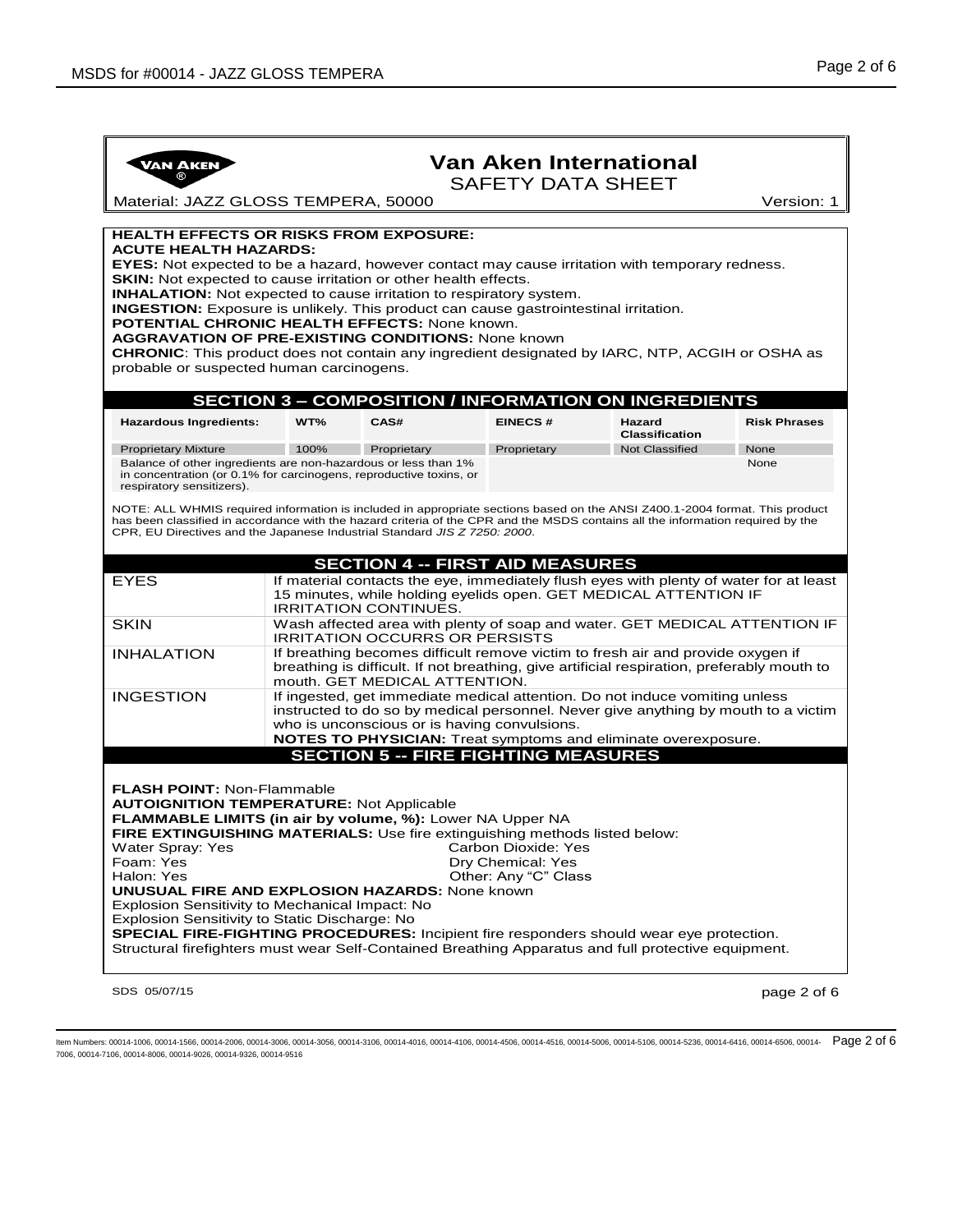| <b>VAN AKEN</b>                                                                                                                                     |                                                                                                                                                                                                              |                                        |                          | <b>Van Aken International</b>                                                          |                     |  |
|-----------------------------------------------------------------------------------------------------------------------------------------------------|--------------------------------------------------------------------------------------------------------------------------------------------------------------------------------------------------------------|----------------------------------------|--------------------------|----------------------------------------------------------------------------------------|---------------------|--|
|                                                                                                                                                     |                                                                                                                                                                                                              |                                        | <b>SAFETY DATA SHEET</b> |                                                                                        |                     |  |
| Material: JAZZ GLOSS TEMPERA, 50000                                                                                                                 |                                                                                                                                                                                                              |                                        |                          |                                                                                        | Version: 1          |  |
|                                                                                                                                                     |                                                                                                                                                                                                              |                                        |                          |                                                                                        |                     |  |
| <b>HEALTH EFFECTS OR RISKS FROM EXPOSURE:</b><br><b>ACUTE HEALTH HAZARDS:</b>                                                                       |                                                                                                                                                                                                              |                                        |                          |                                                                                        |                     |  |
| EYES: Not expected to be a hazard, however contact may cause irritation with temporary redness.                                                     |                                                                                                                                                                                                              |                                        |                          |                                                                                        |                     |  |
| SKIN: Not expected to cause irritation or other health effects.                                                                                     |                                                                                                                                                                                                              |                                        |                          |                                                                                        |                     |  |
| <b>INHALATION:</b> Not expected to cause irritation to respiratory system.                                                                          |                                                                                                                                                                                                              |                                        |                          |                                                                                        |                     |  |
| <b>INGESTION:</b> Exposure is unlikely. This product can cause gastrointestinal irritation.<br><b>POTENTIAL CHRONIC HEALTH EFFECTS: None known.</b> |                                                                                                                                                                                                              |                                        |                          |                                                                                        |                     |  |
| <b>AGGRAVATION OF PRE-EXISTING CONDITIONS: None known</b>                                                                                           |                                                                                                                                                                                                              |                                        |                          |                                                                                        |                     |  |
| <b>CHRONIC:</b> This product does not contain any ingredient designated by IARC, NTP, ACGIH or OSHA as                                              |                                                                                                                                                                                                              |                                        |                          |                                                                                        |                     |  |
| probable or suspected human carcinogens.                                                                                                            |                                                                                                                                                                                                              |                                        |                          |                                                                                        |                     |  |
|                                                                                                                                                     |                                                                                                                                                                                                              |                                        |                          |                                                                                        |                     |  |
|                                                                                                                                                     |                                                                                                                                                                                                              |                                        |                          | <b>SECTION 3 - COMPOSITION / INFORMATION ON INGREDIENTS</b>                            |                     |  |
| <b>Hazardous Ingredients:</b>                                                                                                                       | WT%                                                                                                                                                                                                          | CAS#                                   | <b>EINECS#</b>           | <b>Hazard</b><br><b>Classification</b>                                                 | <b>Risk Phrases</b> |  |
| <b>Proprietary Mixture</b>                                                                                                                          | 100%                                                                                                                                                                                                         | Proprietary                            | Proprietary              | <b>Not Classified</b>                                                                  | None                |  |
| Balance of other ingredients are non-hazardous or less than 1%                                                                                      |                                                                                                                                                                                                              |                                        |                          |                                                                                        | None                |  |
| in concentration (or 0.1% for carcinogens, reproductive toxins, or<br>respiratory sensitizers).                                                     |                                                                                                                                                                                                              |                                        |                          |                                                                                        |                     |  |
| NOTE: ALL WHMIS required information is included in appropriate sections based on the ANSI Z400.1-2004 format. This product                         |                                                                                                                                                                                                              |                                        |                          |                                                                                        |                     |  |
|                                                                                                                                                     | has been classified in accordance with the hazard criteria of the CPR and the MSDS contains all the information required by the<br>CPR, EU Directives and the Japanese Industrial Standard JIS Z 7250: 2000. |                                        |                          |                                                                                        |                     |  |
|                                                                                                                                                     |                                                                                                                                                                                                              |                                        |                          |                                                                                        |                     |  |
|                                                                                                                                                     |                                                                                                                                                                                                              | <b>SECTION 4 -- FIRST AID MEASURES</b> |                          |                                                                                        |                     |  |
| <b>EYES</b>                                                                                                                                         |                                                                                                                                                                                                              |                                        |                          | If material contacts the eye, immediately flush eyes with plenty of water for at least |                     |  |
|                                                                                                                                                     | 15 minutes, while holding eyelids open. GET MEDICAL ATTENTION IF                                                                                                                                             |                                        |                          |                                                                                        |                     |  |
| <b>SKIN</b>                                                                                                                                         | <b>IRRITATION CONTINUES.</b><br>Wash affected area with plenty of soap and water. GET MEDICAL ATTENTION IF                                                                                                   |                                        |                          |                                                                                        |                     |  |
|                                                                                                                                                     |                                                                                                                                                                                                              | <b>IRRITATION OCCURRS OR PERSISTS</b>  |                          |                                                                                        |                     |  |
| <b>INHALATION</b>                                                                                                                                   |                                                                                                                                                                                                              |                                        |                          | If breathing becomes difficult remove victim to fresh air and provide oxygen if        |                     |  |
|                                                                                                                                                     | breathing is difficult. If not breathing, give artificial respiration, preferably mouth to<br>mouth. GET MEDICAL ATTENTION.                                                                                  |                                        |                          |                                                                                        |                     |  |
| <b>INGESTION</b>                                                                                                                                    |                                                                                                                                                                                                              |                                        |                          | If ingested, get immediate medical attention. Do not induce vomiting unless            |                     |  |
|                                                                                                                                                     |                                                                                                                                                                                                              |                                        |                          | instructed to do so by medical personnel. Never give anything by mouth to a victim     |                     |  |
| who is unconscious or is having convulsions.                                                                                                        |                                                                                                                                                                                                              |                                        |                          |                                                                                        |                     |  |
| NOTES TO PHYSICIAN: Treat symptoms and eliminate overexposure.<br><b>SECTION 5 -- FIRE FIGHTING MEASURES</b>                                        |                                                                                                                                                                                                              |                                        |                          |                                                                                        |                     |  |
|                                                                                                                                                     |                                                                                                                                                                                                              |                                        |                          |                                                                                        |                     |  |
| <b>FLASH POINT: Non-Flammable</b>                                                                                                                   |                                                                                                                                                                                                              |                                        |                          |                                                                                        |                     |  |
| <b>AUTOIGNITION TEMPERATURE: Not Applicable</b>                                                                                                     |                                                                                                                                                                                                              |                                        |                          |                                                                                        |                     |  |
| FLAMMABLE LIMITS (in air by volume, %): Lower NA Upper NA                                                                                           |                                                                                                                                                                                                              |                                        |                          |                                                                                        |                     |  |
| FIRE EXTINGUISHING MATERIALS: Use fire extinguishing methods listed below:                                                                          |                                                                                                                                                                                                              |                                        |                          |                                                                                        |                     |  |
| Water Spray: Yes<br>Carbon Dioxide: Yes<br>Foam: Yes<br>Dry Chemical: Yes                                                                           |                                                                                                                                                                                                              |                                        |                          |                                                                                        |                     |  |
| Halon: Yes<br>Other: Any "C" Class                                                                                                                  |                                                                                                                                                                                                              |                                        |                          |                                                                                        |                     |  |
| <b>UNUSUAL FIRE AND EXPLOSION HAZARDS: None known</b>                                                                                               |                                                                                                                                                                                                              |                                        |                          |                                                                                        |                     |  |
| Explosion Sensitivity to Mechanical Impact: No                                                                                                      |                                                                                                                                                                                                              |                                        |                          |                                                                                        |                     |  |
| Explosion Sensitivity to Static Discharge: No<br><b>SPECIAL FIRE-FIGHTING PROCEDURES: Incipient fire responders should wear eye protection.</b>     |                                                                                                                                                                                                              |                                        |                          |                                                                                        |                     |  |
| Structural firefighters must wear Self-Contained Breathing Apparatus and full protective equipment.                                                 |                                                                                                                                                                                                              |                                        |                          |                                                                                        |                     |  |
|                                                                                                                                                     |                                                                                                                                                                                                              |                                        |                          |                                                                                        |                     |  |
|                                                                                                                                                     |                                                                                                                                                                                                              |                                        |                          |                                                                                        |                     |  |

SDS 05/07/15 page 2 of 6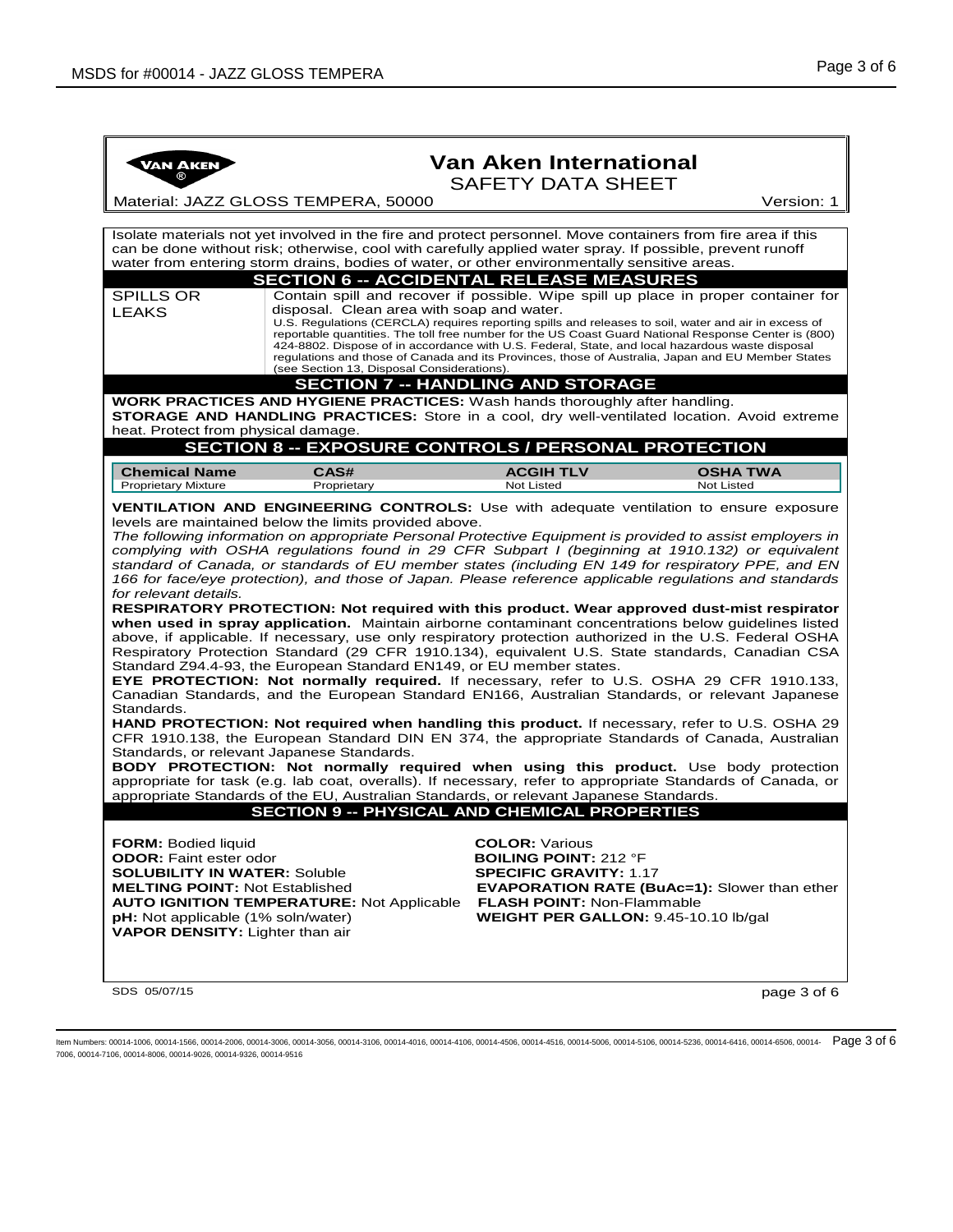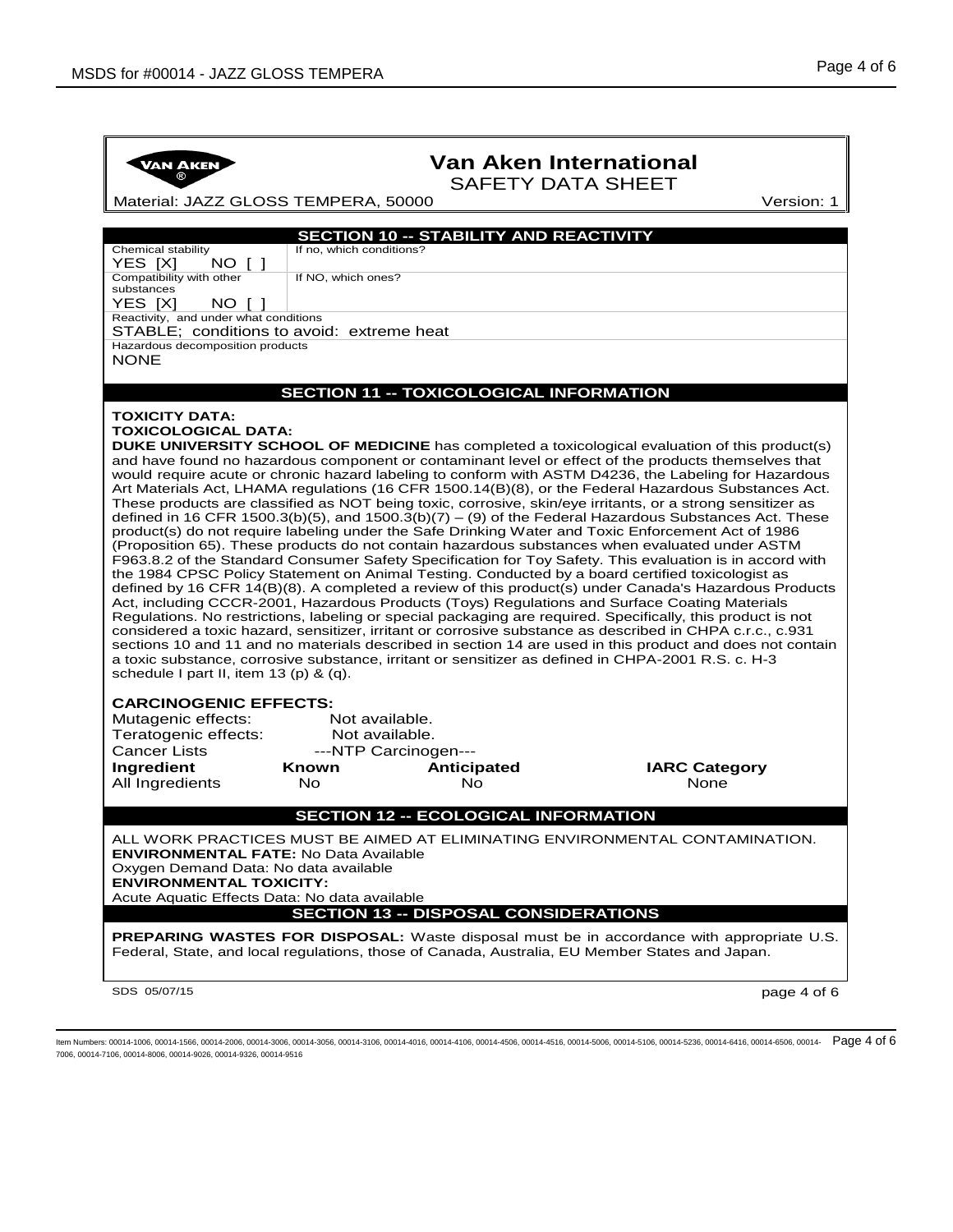| <b>Van Aken International</b><br><b>VAN AKEN</b><br><b>SAFETY DATA SHEET</b><br>Material: JAZZ GLOSS TEMPERA, 50000<br>Version: 1<br><b>SECTION 10 -- STABILITY AND REACTIVITY</b><br>If no. which conditions?<br>Chemical stability<br>YES [X]<br>NO I 1<br>Compatibility with other<br>If NO, which ones?<br>substances<br>YES [X]<br>NO I<br>Reactivity, and under what conditions<br>STABLE; conditions to avoid: extreme heat<br>Hazardous decomposition products<br><b>NONE</b><br><b>SECTION 11 -- TOXICOLOGICAL INFORMATION</b>                                                                                                                                                                                                                                                                                                                                                                                                                                                                                                                                                                                                                                                                                                                                                                                                                                                                                                                   |  |  |  |  |  |
|-----------------------------------------------------------------------------------------------------------------------------------------------------------------------------------------------------------------------------------------------------------------------------------------------------------------------------------------------------------------------------------------------------------------------------------------------------------------------------------------------------------------------------------------------------------------------------------------------------------------------------------------------------------------------------------------------------------------------------------------------------------------------------------------------------------------------------------------------------------------------------------------------------------------------------------------------------------------------------------------------------------------------------------------------------------------------------------------------------------------------------------------------------------------------------------------------------------------------------------------------------------------------------------------------------------------------------------------------------------------------------------------------------------------------------------------------------------|--|--|--|--|--|
|                                                                                                                                                                                                                                                                                                                                                                                                                                                                                                                                                                                                                                                                                                                                                                                                                                                                                                                                                                                                                                                                                                                                                                                                                                                                                                                                                                                                                                                           |  |  |  |  |  |
|                                                                                                                                                                                                                                                                                                                                                                                                                                                                                                                                                                                                                                                                                                                                                                                                                                                                                                                                                                                                                                                                                                                                                                                                                                                                                                                                                                                                                                                           |  |  |  |  |  |
|                                                                                                                                                                                                                                                                                                                                                                                                                                                                                                                                                                                                                                                                                                                                                                                                                                                                                                                                                                                                                                                                                                                                                                                                                                                                                                                                                                                                                                                           |  |  |  |  |  |
|                                                                                                                                                                                                                                                                                                                                                                                                                                                                                                                                                                                                                                                                                                                                                                                                                                                                                                                                                                                                                                                                                                                                                                                                                                                                                                                                                                                                                                                           |  |  |  |  |  |
|                                                                                                                                                                                                                                                                                                                                                                                                                                                                                                                                                                                                                                                                                                                                                                                                                                                                                                                                                                                                                                                                                                                                                                                                                                                                                                                                                                                                                                                           |  |  |  |  |  |
|                                                                                                                                                                                                                                                                                                                                                                                                                                                                                                                                                                                                                                                                                                                                                                                                                                                                                                                                                                                                                                                                                                                                                                                                                                                                                                                                                                                                                                                           |  |  |  |  |  |
|                                                                                                                                                                                                                                                                                                                                                                                                                                                                                                                                                                                                                                                                                                                                                                                                                                                                                                                                                                                                                                                                                                                                                                                                                                                                                                                                                                                                                                                           |  |  |  |  |  |
|                                                                                                                                                                                                                                                                                                                                                                                                                                                                                                                                                                                                                                                                                                                                                                                                                                                                                                                                                                                                                                                                                                                                                                                                                                                                                                                                                                                                                                                           |  |  |  |  |  |
|                                                                                                                                                                                                                                                                                                                                                                                                                                                                                                                                                                                                                                                                                                                                                                                                                                                                                                                                                                                                                                                                                                                                                                                                                                                                                                                                                                                                                                                           |  |  |  |  |  |
|                                                                                                                                                                                                                                                                                                                                                                                                                                                                                                                                                                                                                                                                                                                                                                                                                                                                                                                                                                                                                                                                                                                                                                                                                                                                                                                                                                                                                                                           |  |  |  |  |  |
| <b>TOXICITY DATA:</b>                                                                                                                                                                                                                                                                                                                                                                                                                                                                                                                                                                                                                                                                                                                                                                                                                                                                                                                                                                                                                                                                                                                                                                                                                                                                                                                                                                                                                                     |  |  |  |  |  |
| Art Materials Act, LHAMA regulations (16 CFR 1500.14(B)(8), or the Federal Hazardous Substances Act.<br>These products are classified as NOT being toxic, corrosive, skin/eye irritants, or a strong sensitizer as<br>defined in 16 CFR 1500.3(b)(5), and 1500.3(b)(7) – (9) of the Federal Hazardous Substances Act. These<br>product(s) do not require labeling under the Safe Drinking Water and Toxic Enforcement Act of 1986<br>(Proposition 65). These products do not contain hazardous substances when evaluated under ASTM<br>F963.8.2 of the Standard Consumer Safety Specification for Toy Safety. This evaluation is in accord with<br>the 1984 CPSC Policy Statement on Animal Testing. Conducted by a board certified toxicologist as<br>defined by 16 CFR 14(B)(8). A completed a review of this product(s) under Canada's Hazardous Products<br>Act, including CCCR-2001, Hazardous Products (Toys) Regulations and Surface Coating Materials<br>Regulations. No restrictions, labeling or special packaging are required. Specifically, this product is not<br>considered a toxic hazard, sensitizer, irritant or corrosive substance as described in CHPA c.r.c., c.931<br>sections 10 and 11 and no materials described in section 14 are used in this product and does not contain<br>a toxic substance, corrosive substance, irritant or sensitizer as defined in CHPA-2001 R.S. c. H-3<br>schedule I part II, item 13 (p) $\&$ (q). |  |  |  |  |  |
| <b>CARCINOGENIC EFFECTS:</b><br>Mutagenic effects:<br>Not available.<br>Teratogenic effects:<br>Not available.                                                                                                                                                                                                                                                                                                                                                                                                                                                                                                                                                                                                                                                                                                                                                                                                                                                                                                                                                                                                                                                                                                                                                                                                                                                                                                                                            |  |  |  |  |  |
| <b>Cancer Lists</b><br>---NTP Carcinogen---<br>Ingredient<br><b>Known</b><br>Anticipated<br><b>IARC Category</b>                                                                                                                                                                                                                                                                                                                                                                                                                                                                                                                                                                                                                                                                                                                                                                                                                                                                                                                                                                                                                                                                                                                                                                                                                                                                                                                                          |  |  |  |  |  |
| All Ingredients<br>No.<br>No.<br><b>None</b>                                                                                                                                                                                                                                                                                                                                                                                                                                                                                                                                                                                                                                                                                                                                                                                                                                                                                                                                                                                                                                                                                                                                                                                                                                                                                                                                                                                                              |  |  |  |  |  |
| <b>SECTION 12 -- ECOLOGICAL INFORMATION</b>                                                                                                                                                                                                                                                                                                                                                                                                                                                                                                                                                                                                                                                                                                                                                                                                                                                                                                                                                                                                                                                                                                                                                                                                                                                                                                                                                                                                               |  |  |  |  |  |
| ALL WORK PRACTICES MUST BE AIMED AT ELIMINATING ENVIRONMENTAL CONTAMINATION.<br><b>ENVIRONMENTAL FATE: No Data Available</b><br>Oxygen Demand Data: No data available<br><b>ENVIRONMENTAL TOXICITY:</b><br>Acute Aquatic Effects Data: No data available<br><b>SECTION 13 -- DISPOSAL CONSIDERATIONS</b><br><b>PREPARING WASTES FOR DISPOSAL:</b> Waste disposal must be in accordance with appropriate U.S.                                                                                                                                                                                                                                                                                                                                                                                                                                                                                                                                                                                                                                                                                                                                                                                                                                                                                                                                                                                                                                              |  |  |  |  |  |
| Federal, State, and local regulations, those of Canada, Australia, EU Member States and Japan.<br>SDS 05/07/15<br>page 4 of 6                                                                                                                                                                                                                                                                                                                                                                                                                                                                                                                                                                                                                                                                                                                                                                                                                                                                                                                                                                                                                                                                                                                                                                                                                                                                                                                             |  |  |  |  |  |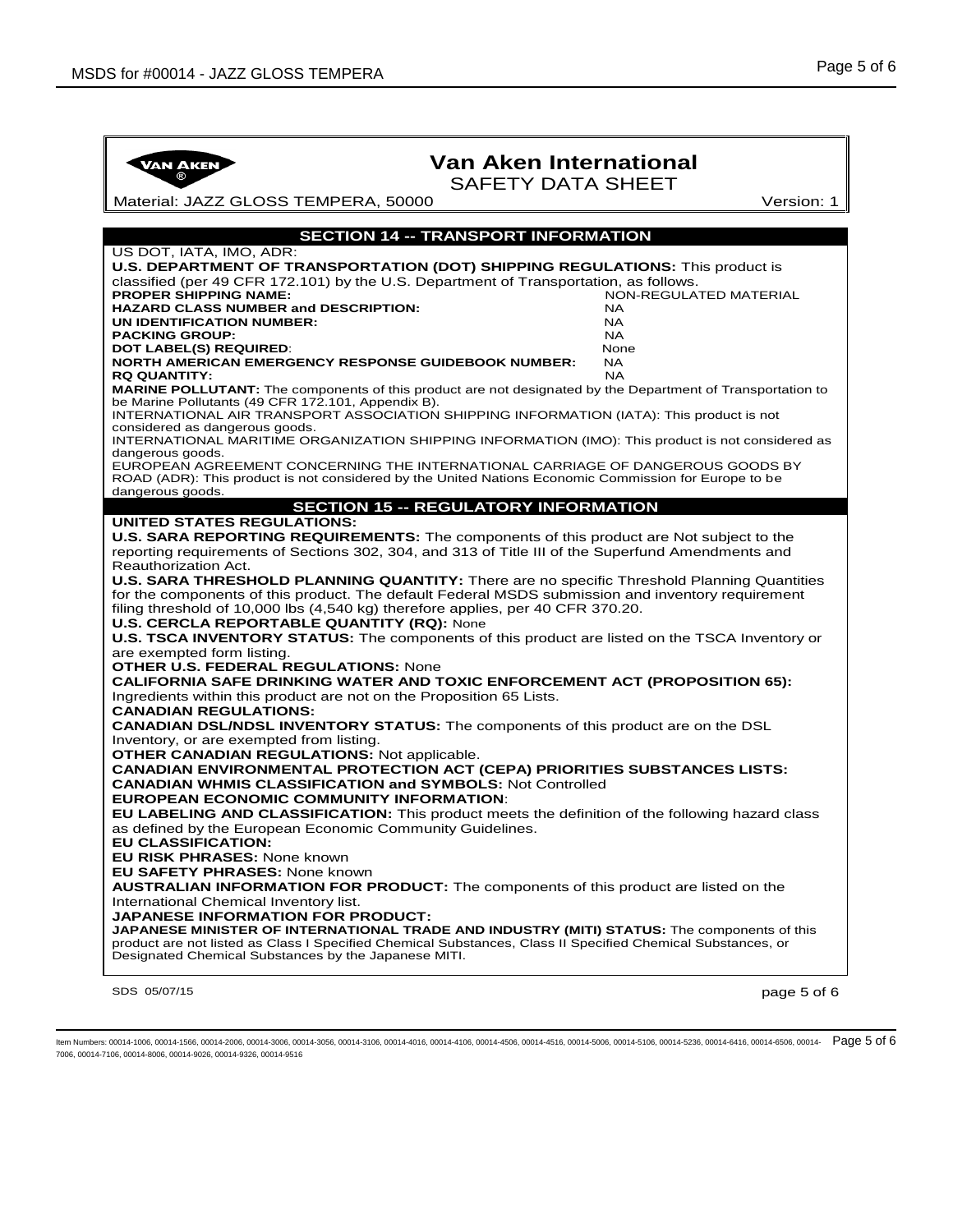

## **Van Aken International**

SAFETY DATA SHEET

Material: JAZZ GLOSS TEMPERA, 50000 Version: 1

 $\mathsf{SDS}\ 05/07/15$  page 5 of 6 **SECTION 14 -- TRANSPORT INFORMATION** US DOT, IATA, IMO, ADR: **U.S. DEPARTMENT OF TRANSPORTATION (DOT) SHIPPING REGULATIONS:** This product is classified (per 49 CFR 172.101) by the U.S. Department of Transportation, as follows. **PROPER SHIPPING NAME:** NON-REGULATED MATERIAL **HAZARD CLASS NUMBER and DESCRIPTION:**  $N_A$ <br>**(in identification number**) **UN IDENTIFICATION NUMBER: PACKING GROUP:** NA **DOT LABEL(S) REQUIRED:** Nor<br>**NORTH AMERICAN EMERGENCY RESPONSE GUIDEBOOK NUMBER:** NA **NORTH AMERICAN EMERGENCY RESPONSE GUIDEBOOK NUMBER: RQ QUANTITY:** NA **MARINE POLLUTANT:** The components of this product are not designated by the Department of Transportation to be Marine Pollutants (49 CFR 172.101, Appendix B). INTERNATIONAL AIR TRANSPORT ASSOCIATION SHIPPING INFORMATION (IATA): This product is not considered as dangerous goods. INTERNATIONAL MARITIME ORGANIZATION SHIPPING INFORMATION (IMO): This product is not considered as dangerous goods. EUROPEAN AGREEMENT CONCERNING THE INTERNATIONAL CARRIAGE OF DANGEROUS GOODS BY ROAD (ADR): This product is not considered by the United Nations Economic Commission for Europe to be dangerous goods. **SECTION 15 -- REGULATORY INFORMATION UNITED STATES REGULATIONS: U.S. SARA REPORTING REQUIREMENTS:** The components of this product are Not subject to the reporting requirements of Sections 302, 304, and 313 of Title III of the Superfund Amendments and Reauthorization Act. **U.S. SARA THRESHOLD PLANNING QUANTITY:** There are no specific Threshold Planning Quantities for the components of this product. The default Federal MSDS submission and inventory requirement filing threshold of 10,000 lbs (4,540 kg) therefore applies, per 40 CFR 370.20. **U.S. CERCLA REPORTABLE QUANTITY (RQ):** None **U.S. TSCA INVENTORY STATUS:** The components of this product are listed on the TSCA Inventory or are exempted form listing. **OTHER U.S. FEDERAL REGULATIONS:** None **CALIFORNIA SAFE DRINKING WATER AND TOXIC ENFORCEMENT ACT (PROPOSITION 65):**  Ingredients within this product are not on the Proposition 65 Lists. **CANADIAN REGULATIONS: CANADIAN DSL/NDSL INVENTORY STATUS:** The components of this product are on the DSL Inventory, or are exempted from listing. **OTHER CANADIAN REGULATIONS:** Not applicable. **CANADIAN ENVIRONMENTAL PROTECTION ACT (CEPA) PRIORITIES SUBSTANCES LISTS: CANADIAN WHMIS CLASSIFICATION and SYMBOLS:** Not Controlled **EUROPEAN ECONOMIC COMMUNITY INFORMATION**: **EU LABELING AND CLASSIFICATION:** This product meets the definition of the following hazard class as defined by the European Economic Community Guidelines. **EU CLASSIFICATION: EU RISK PHRASES:** None known **EU SAFETY PHRASES:** None known **AUSTRALIAN INFORMATION FOR PRODUCT:** The components of this product are listed on the International Chemical Inventory list. **JAPANESE INFORMATION FOR PRODUCT: JAPANESE MINISTER OF INTERNATIONAL TRADE AND INDUSTRY (MITI) STATUS:** The components of this product are not listed as Class I Specified Chemical Substances, Class II Specified Chemical Substances, or Designated Chemical Substances by the Japanese MITI.